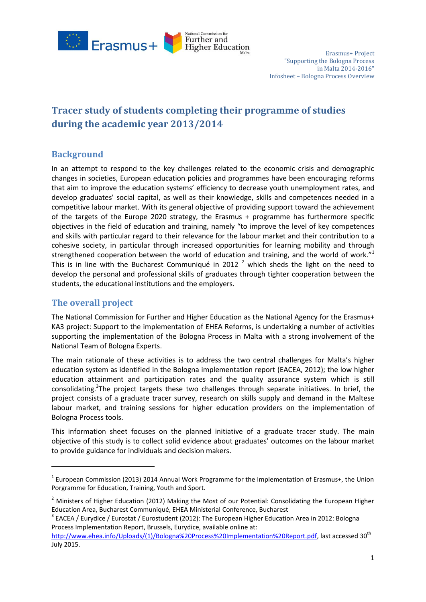

# **Tracer study of students completing their programme of studies during the academic year 2013/2014**

## **Background**

In an attempt to respond to the key challenges related to the economic crisis and demographic changes in societies, European education policies and programmes have been encouraging reforms that aim to improve the education systems' efficiency to decrease youth unemployment rates, and develop graduates' social capital, as well as their knowledge, skills and competences needed in a competitive labour market. With its general objective of providing support toward the achievement of the targets of the Europe 2020 strategy, the Erasmus + programme has furthermore specific objectives in the field of education and training, namely "to improve the level of key competences and skills with particular regard to their relevance for the labour market and their contribution to a cohesive society, in particular through increased opportunities for learning mobility and through strengthened cooperation between the world of education and training, and the world of work."<sup>1</sup> This is in line with the Bucharest Communiqué in 2012<sup>2</sup> which sheds the light on the need to develop the personal and professional skills of graduates through tighter cooperation between the students, the educational institutions and the employers.

## **The overall project**

**.** 

The National Commission for Further and Higher Education as the National Agency for the Erasmus+ KA3 project: Support to the implementation of EHEA Reforms, is undertaking a number of activities supporting the implementation of the Bologna Process in Malta with a strong involvement of the National Team of Bologna Experts.

The main rationale of these activities is to address the two central challenges for Malta's higher education system as identified in the Bologna implementation report (EACEA, 2012); the low higher education attainment and participation rates and the quality assurance system which is still consolidating.<sup>3</sup>The project targets these two challenges through separate initiatives. In brief, the project consists of a graduate tracer survey, research on skills supply and demand in the Maltese labour market, and training sessions for higher education providers on the implementation of Bologna Process tools.

This information sheet focuses on the planned initiative of a graduate tracer study. The main objective of this study is to collect solid evidence about graduates' outcomes on the labour market to provide guidance for individuals and decision makers.

 $1$  European Commission (2013) 2014 Annual Work Programme for the Implementation of Erasmus+, the Union Porgramme for Education, Training, Youth and Sport.

<sup>&</sup>lt;sup>2</sup> Ministers of Higher Education (2012) Making the Most of our Potential: Consolidating the European Higher Education Area, Bucharest Communiqué, EHEA Ministerial Conference, Bucharest

<sup>&</sup>lt;sup>3</sup> EACEA / Eurydice / Eurostat / Eurostudent (2012): The European Higher Education Area in 2012: Bologna Process Implementation Report, Brussels, Eurydice, available online at:

[http://www.ehea.info/Uploads/\(1\)/Bologna%20Process%20Implementation%20Report.pdf,](http://www.ehea.info/Uploads/(1)/Bologna%20Process%20Implementation%20Report.pdf) last accessed 30<sup>th</sup> July 2015.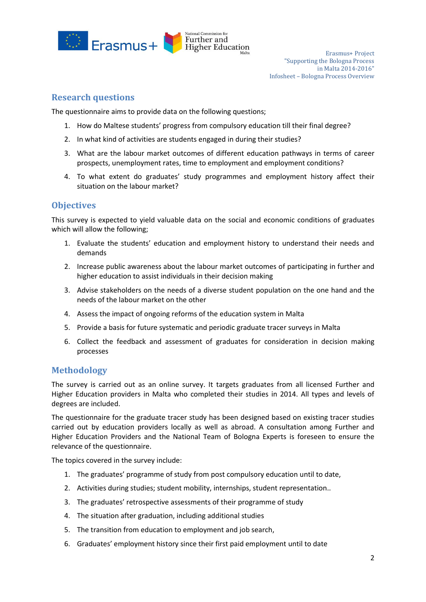

#### **Research questions**

The questionnaire aims to provide data on the following questions;

- 1. How do Maltese students' progress from compulsory education till their final degree?
- 2. In what kind of activities are students engaged in during their studies?
- 3. What are the labour market outcomes of different education pathways in terms of career prospects, unemployment rates, time to employment and employment conditions?
- 4. To what extent do graduates' study programmes and employment history affect their situation on the labour market?

### **Objectives**

This survey is expected to yield valuable data on the social and economic conditions of graduates which will allow the following;

- 1. Evaluate the students' education and employment history to understand their needs and demands
- 2. Increase public awareness about the labour market outcomes of participating in further and higher education to assist individuals in their decision making
- 3. Advise stakeholders on the needs of a diverse student population on the one hand and the needs of the labour market on the other
- 4. Assess the impact of ongoing reforms of the education system in Malta
- 5. Provide a basis for future systematic and periodic graduate tracer surveys in Malta
- 6. Collect the feedback and assessment of graduates for consideration in decision making processes

#### **Methodology**

The survey is carried out as an online survey. It targets graduates from all licensed Further and Higher Education providers in Malta who completed their studies in 2014. All types and levels of degrees are included.

The questionnaire for the graduate tracer study has been designed based on existing tracer studies carried out by education providers locally as well as abroad. A consultation among Further and Higher Education Providers and the National Team of Bologna Experts is foreseen to ensure the relevance of the questionnaire.

The topics covered in the survey include:

- 1. The graduates' programme of study from post compulsory education until to date,
- 2. Activities during studies; student mobility, internships, student representation..
- 3. The graduates' retrospective assessments of their programme of study
- 4. The situation after graduation, including additional studies
- 5. The transition from education to employment and job search,
- 6. Graduates' employment history since their first paid employment until to date